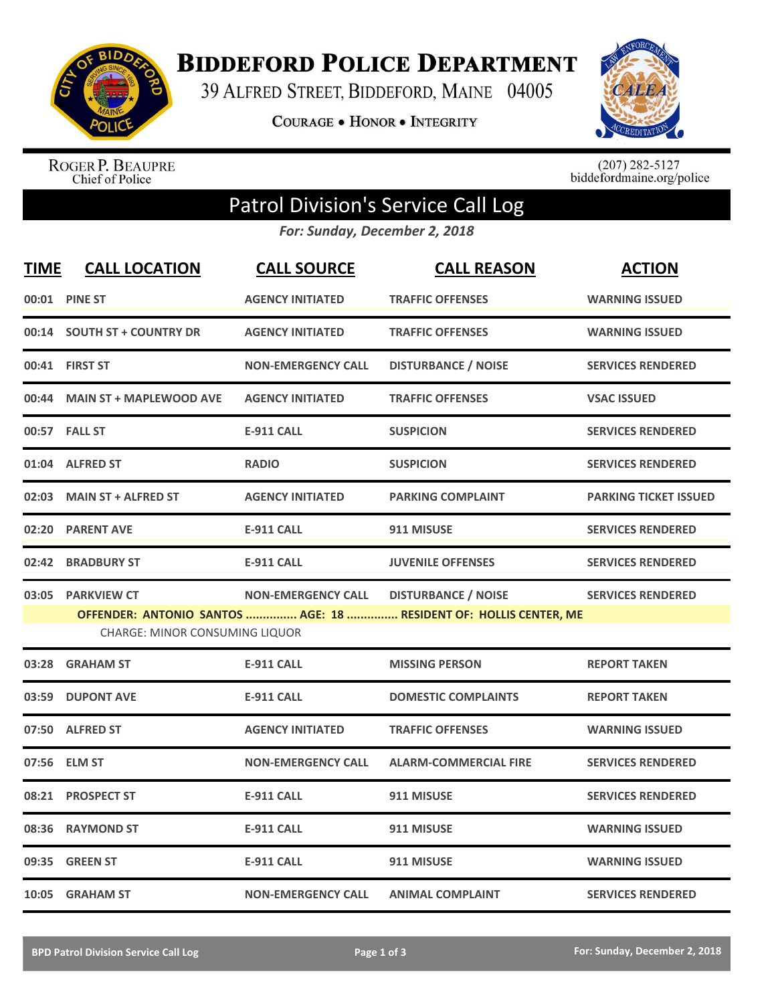

**BIDDEFORD POLICE DEPARTMENT** 

39 ALFRED STREET, BIDDEFORD, MAINE 04005

**COURAGE . HONOR . INTEGRITY** 



ROGER P. BEAUPRE<br>Chief of Police

 $(207)$  282-5127<br>biddefordmaine.org/police

## Patrol Division's Service Call Log

*For: Sunday, December 2, 2018*

| <b>TIME</b> | <b>CALL LOCATION</b>                  | <b>CALL SOURCE</b>        | <b>CALL REASON</b>                                                | <b>ACTION</b>                |
|-------------|---------------------------------------|---------------------------|-------------------------------------------------------------------|------------------------------|
|             | 00:01 PINE ST                         | <b>AGENCY INITIATED</b>   | <b>TRAFFIC OFFENSES</b>                                           | <b>WARNING ISSUED</b>        |
|             | 00:14 SOUTH ST + COUNTRY DR           | <b>AGENCY INITIATED</b>   | <b>TRAFFIC OFFENSES</b>                                           | <b>WARNING ISSUED</b>        |
|             | 00:41 FIRST ST                        | <b>NON-EMERGENCY CALL</b> | <b>DISTURBANCE / NOISE</b>                                        | <b>SERVICES RENDERED</b>     |
| 00:44       | <b>MAIN ST + MAPLEWOOD AVE</b>        | <b>AGENCY INITIATED</b>   | <b>TRAFFIC OFFENSES</b>                                           | <b>VSAC ISSUED</b>           |
|             | 00:57 FALL ST                         | <b>E-911 CALL</b>         | <b>SUSPICION</b>                                                  | <b>SERVICES RENDERED</b>     |
|             | 01:04 ALFRED ST                       | <b>RADIO</b>              | <b>SUSPICION</b>                                                  | <b>SERVICES RENDERED</b>     |
| 02:03       | <b>MAIN ST + ALFRED ST</b>            | <b>AGENCY INITIATED</b>   | <b>PARKING COMPLAINT</b>                                          | <b>PARKING TICKET ISSUED</b> |
| 02:20       | <b>PARENT AVE</b>                     | <b>E-911 CALL</b>         | 911 MISUSE                                                        | <b>SERVICES RENDERED</b>     |
| 02:42       | <b>BRADBURY ST</b>                    | <b>E-911 CALL</b>         | <b>JUVENILE OFFENSES</b>                                          | <b>SERVICES RENDERED</b>     |
|             | 03:05 PARKVIEW CT                     | <b>NON-EMERGENCY CALL</b> | <b>DISTURBANCE / NOISE</b>                                        | <b>SERVICES RENDERED</b>     |
|             | <b>CHARGE: MINOR CONSUMING LIQUOR</b> |                           | OFFENDER: ANTONIO SANTOS  AGE: 18  RESIDENT OF: HOLLIS CENTER, ME |                              |
| 03:28       | <b>GRAHAM ST</b>                      | <b>E-911 CALL</b>         | <b>MISSING PERSON</b>                                             | <b>REPORT TAKEN</b>          |
| 03:59       | <b>DUPONT AVE</b>                     | <b>E-911 CALL</b>         | <b>DOMESTIC COMPLAINTS</b>                                        | <b>REPORT TAKEN</b>          |
| 07:50       | <b>ALFRED ST</b>                      | <b>AGENCY INITIATED</b>   | <b>TRAFFIC OFFENSES</b>                                           | <b>WARNING ISSUED</b>        |
| 07:56       | <b>ELM ST</b>                         | <b>NON-EMERGENCY CALL</b> | <b>ALARM-COMMERCIAL FIRE</b>                                      | <b>SERVICES RENDERED</b>     |
| 08:21       | <b>PROSPECT ST</b>                    | <b>E-911 CALL</b>         | 911 MISUSE                                                        | <b>SERVICES RENDERED</b>     |
| 08:36       | <b>RAYMOND ST</b>                     | <b>E-911 CALL</b>         | 911 MISUSE                                                        | <b>WARNING ISSUED</b>        |
|             | 09:35 GREEN ST                        | <b>E-911 CALL</b>         | 911 MISUSE                                                        | <b>WARNING ISSUED</b>        |
|             | 10:05 GRAHAM ST                       | <b>NON-EMERGENCY CALL</b> | <b>ANIMAL COMPLAINT</b>                                           | <b>SERVICES RENDERED</b>     |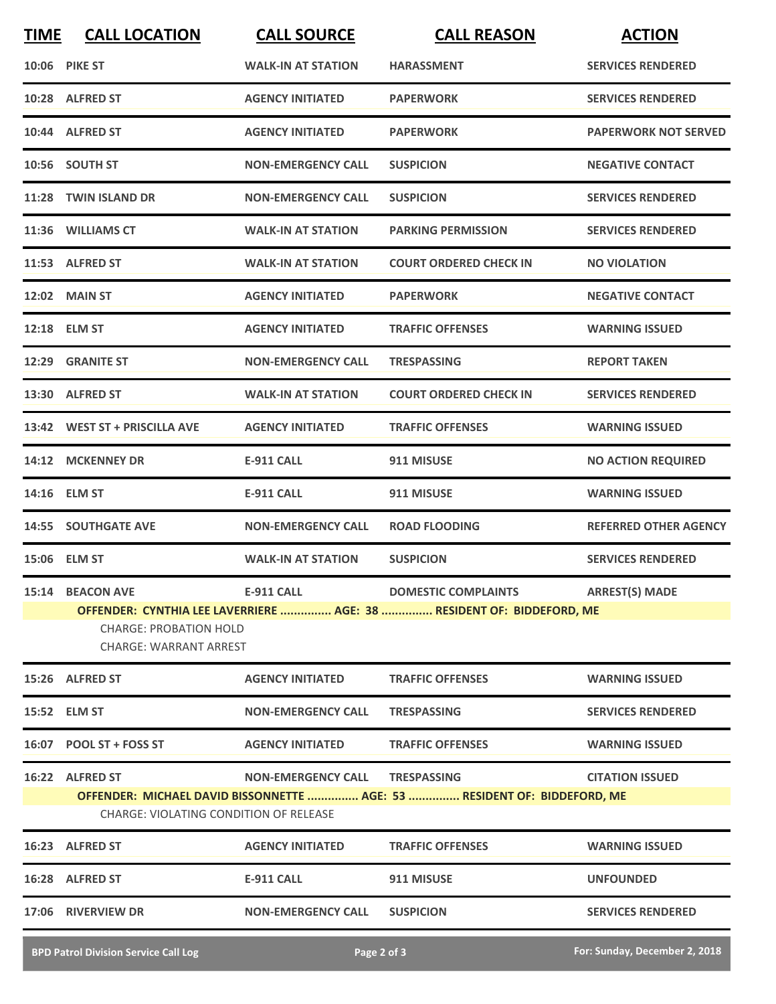| <b>TIME</b><br><b>CALL LOCATION</b>                                                                                                     | <b>CALL SOURCE</b>        | <b>CALL REASON</b>                            | <b>ACTION</b>                                                            |  |  |  |
|-----------------------------------------------------------------------------------------------------------------------------------------|---------------------------|-----------------------------------------------|--------------------------------------------------------------------------|--|--|--|
| <b>10:06 PIKE ST</b>                                                                                                                    | <b>WALK-IN AT STATION</b> | <b>HARASSMENT</b>                             | <b>SERVICES RENDERED</b>                                                 |  |  |  |
| 10:28 ALFRED ST                                                                                                                         | <b>AGENCY INITIATED</b>   | <b>PAPERWORK</b>                              | <b>SERVICES RENDERED</b>                                                 |  |  |  |
| 10:44 ALFRED ST                                                                                                                         | <b>AGENCY INITIATED</b>   | <b>PAPERWORK</b>                              | <b>PAPERWORK NOT SERVED</b>                                              |  |  |  |
| 10:56 SOUTH ST                                                                                                                          | <b>NON-EMERGENCY CALL</b> | <b>SUSPICION</b>                              | <b>NEGATIVE CONTACT</b>                                                  |  |  |  |
| 11:28 TWIN ISLAND DR                                                                                                                    | <b>NON-EMERGENCY CALL</b> | <b>SUSPICION</b>                              | <b>SERVICES RENDERED</b>                                                 |  |  |  |
| 11:36 WILLIAMS CT                                                                                                                       | <b>WALK-IN AT STATION</b> | <b>PARKING PERMISSION</b>                     | <b>SERVICES RENDERED</b>                                                 |  |  |  |
| 11:53 ALFRED ST                                                                                                                         | <b>WALK-IN AT STATION</b> | <b>COURT ORDERED CHECK IN</b>                 | <b>NO VIOLATION</b>                                                      |  |  |  |
| 12:02 MAIN ST                                                                                                                           | <b>AGENCY INITIATED</b>   | <b>PAPERWORK</b>                              | <b>NEGATIVE CONTACT</b>                                                  |  |  |  |
| 12:18 ELM ST                                                                                                                            | <b>AGENCY INITIATED</b>   | <b>TRAFFIC OFFENSES</b>                       | <b>WARNING ISSUED</b>                                                    |  |  |  |
| 12:29 GRANITE ST                                                                                                                        | <b>NON-EMERGENCY CALL</b> | <b>TRESPASSING</b>                            | <b>REPORT TAKEN</b>                                                      |  |  |  |
| 13:30 ALFRED ST                                                                                                                         | <b>WALK-IN AT STATION</b> | <b>COURT ORDERED CHECK IN</b>                 | <b>SERVICES RENDERED</b>                                                 |  |  |  |
| 13:42 WEST ST + PRISCILLA AVE                                                                                                           | <b>AGENCY INITIATED</b>   | <b>TRAFFIC OFFENSES</b>                       | <b>WARNING ISSUED</b>                                                    |  |  |  |
| 14:12 MCKENNEY DR                                                                                                                       | <b>E-911 CALL</b>         | 911 MISUSE                                    | <b>NO ACTION REQUIRED</b>                                                |  |  |  |
| 14:16 ELM ST                                                                                                                            | <b>E-911 CALL</b>         | 911 MISUSE                                    | <b>WARNING ISSUED</b>                                                    |  |  |  |
| <b>14:55 SOUTHGATE AVE</b>                                                                                                              | <b>NON-EMERGENCY CALL</b> | <b>ROAD FLOODING</b>                          | <b>REFERRED OTHER AGENCY</b>                                             |  |  |  |
| 15:06 ELM ST                                                                                                                            | <b>WALK-IN AT STATION</b> | <b>SUSPICION</b>                              | <b>SERVICES RENDERED</b>                                                 |  |  |  |
| 15:14 BEACON AVE                                                                                                                        | E-911 CALL                | <b>DOMESTIC COMPLAINTS</b>                    | <b>ARREST(S) MADE</b>                                                    |  |  |  |
| OFFENDER: CYNTHIA LEE LAVERRIERE  AGE: 38  RESIDENT OF: BIDDEFORD, ME<br><b>CHARGE: PROBATION HOLD</b><br><b>CHARGE: WARRANT ARREST</b> |                           |                                               |                                                                          |  |  |  |
| 15:26 ALFRED ST                                                                                                                         | <b>AGENCY INITIATED</b>   | <b>TRAFFIC OFFENSES</b>                       | <b>WARNING ISSUED</b>                                                    |  |  |  |
| 15:52 ELM ST                                                                                                                            | <b>NON-EMERGENCY CALL</b> | <b>TRESPASSING</b>                            | <b>SERVICES RENDERED</b>                                                 |  |  |  |
| 16:07 POOL ST + FOSS ST                                                                                                                 | <b>AGENCY INITIATED</b>   | <b>TRAFFIC OFFENSES</b>                       | <b>WARNING ISSUED</b>                                                    |  |  |  |
| 16:22 ALFRED ST                                                                                                                         | <b>NON-EMERGENCY CALL</b> | <b>TRESPASSING</b>                            | <b>CITATION ISSUED</b>                                                   |  |  |  |
| 16:23 ALFRED ST                                                                                                                         | <b>AGENCY INITIATED</b>   | <b>TRAFFIC OFFENSES</b>                       | <b>WARNING ISSUED</b>                                                    |  |  |  |
| 16:28 ALFRED ST                                                                                                                         | <b>E-911 CALL</b>         | 911 MISUSE                                    | <b>UNFOUNDED</b>                                                         |  |  |  |
| 17:06 RIVERVIEW DR                                                                                                                      | <b>NON-EMERGENCY CALL</b> | <b>SUSPICION</b>                              | <b>SERVICES RENDERED</b>                                                 |  |  |  |
|                                                                                                                                         |                           | <b>CHARGE: VIOLATING CONDITION OF RELEASE</b> | OFFENDER: MICHAEL DAVID BISSONNETTE  AGE: 53  RESIDENT OF: BIDDEFORD, ME |  |  |  |